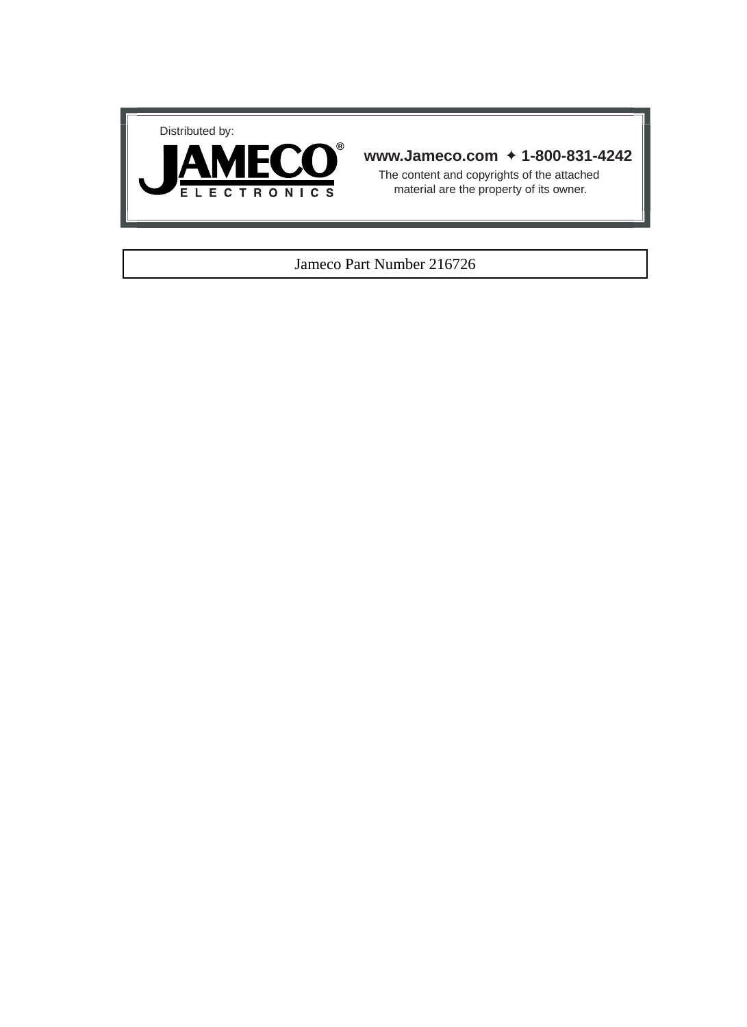



#### **www.Jameco.com** ✦ **1-800-831-4242**

The content and copyrights of the attached material are the property of its owner.

#### Jameco Part Number 216726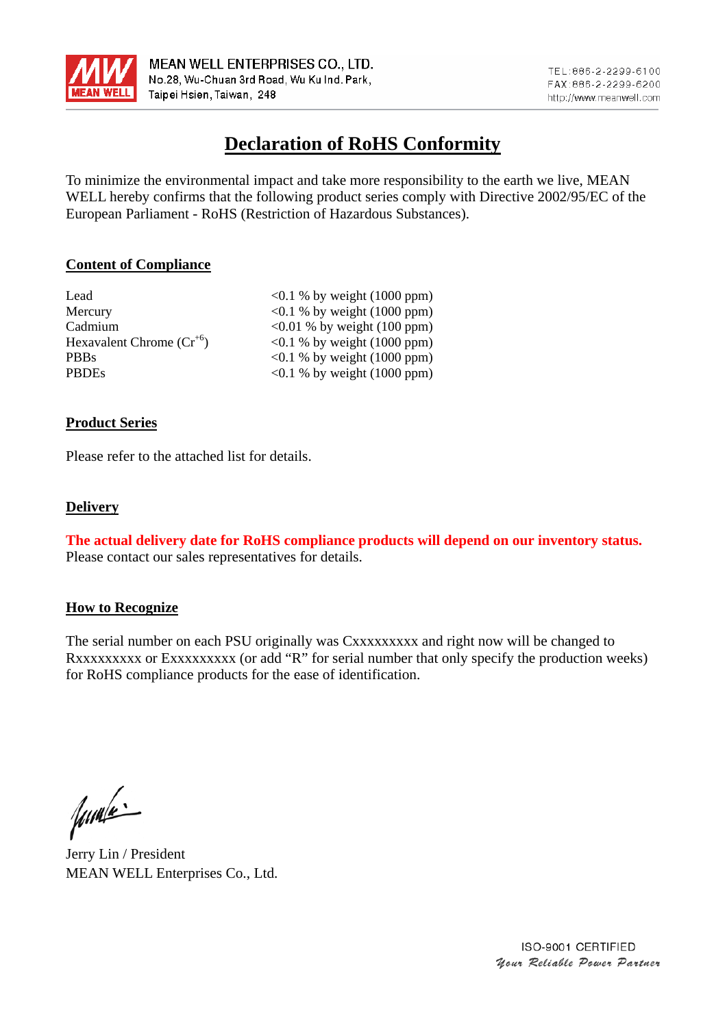

## **Declaration of RoHS Conformity**

To minimize the environmental impact and take more responsibility to the earth we live, MEAN WELL hereby confirms that the following product series comply with Directive 2002/95/EC of the European Parliament - RoHS (Restriction of Hazardous Substances).

#### **Content of Compliance**

| Lead                          | $\leq 0.1$ % by weight (1000 ppm) |
|-------------------------------|-----------------------------------|
| Mercury                       | $\leq 0.1$ % by weight (1000 ppm) |
| Cadmium                       | $\leq 0.01$ % by weight (100 ppm) |
| Hexavalent Chrome $(Cr^{+6})$ | $\leq 0.1$ % by weight (1000 ppm) |
| <b>PBBs</b>                   | $\leq 0.1$ % by weight (1000 ppm) |
| <b>PBDEs</b>                  | $\leq 0.1$ % by weight (1000 ppm) |

#### **Product Series**

Please refer to the attached list for details.

#### **Delivery**

**The actual delivery date for RoHS compliance products will depend on our inventory status.** Please contact our sales representatives for details.

#### **How to Recognize**

The serial number on each PSU originally was Cxxxxxxxxx and right now will be changed to Rxxxxxxxxx or Exxxxxxxxx (or add "R" for serial number that only specify the production weeks) for RoHS compliance products for the ease of identification.

fumé

Jerry Lin / President MEAN WELL Enterprises Co., Ltd.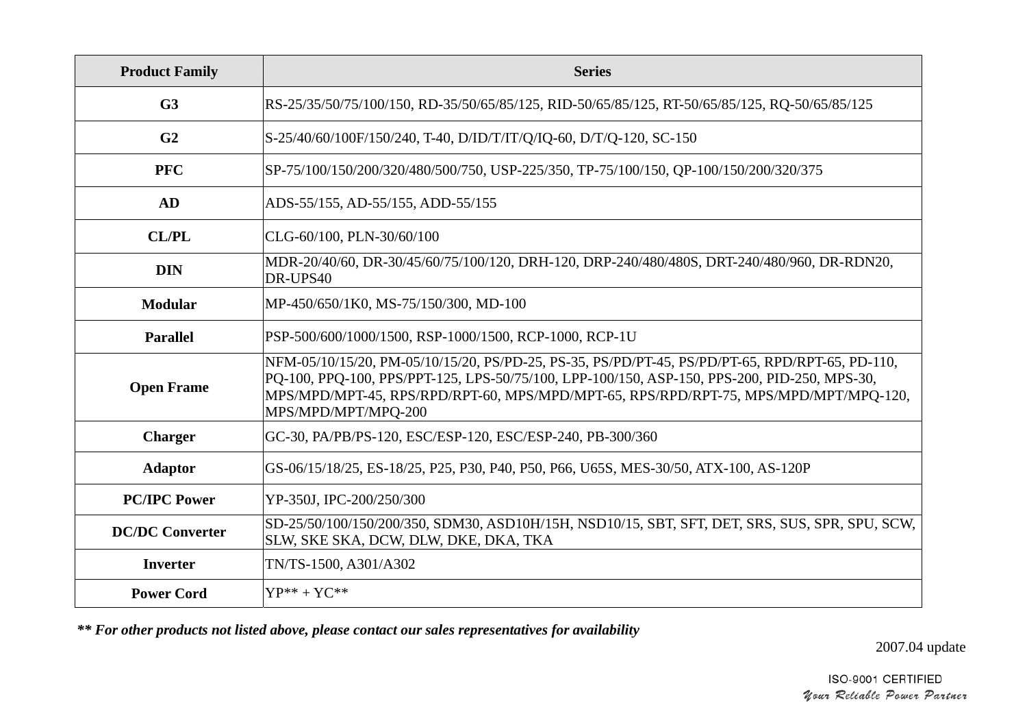| <b>Product Family</b>  | <b>Series</b>                                                                                                                                                                                                                                                                                                  |
|------------------------|----------------------------------------------------------------------------------------------------------------------------------------------------------------------------------------------------------------------------------------------------------------------------------------------------------------|
| G <sub>3</sub>         | RS-25/35/50/75/100/150, RD-35/50/65/85/125, RID-50/65/85/125, RT-50/65/85/125, RQ-50/65/85/125                                                                                                                                                                                                                 |
| G <sub>2</sub>         | S-25/40/60/100F/150/240, T-40, D/ID/T/IT/Q/IQ-60, D/T/Q-120, SC-150                                                                                                                                                                                                                                            |
| <b>PFC</b>             | SP-75/100/150/200/320/480/500/750, USP-225/350, TP-75/100/150, OP-100/150/200/320/375                                                                                                                                                                                                                          |
| AD                     | ADS-55/155, AD-55/155, ADD-55/155                                                                                                                                                                                                                                                                              |
| <b>CL/PL</b>           | CLG-60/100, PLN-30/60/100                                                                                                                                                                                                                                                                                      |
| <b>DIN</b>             | MDR-20/40/60, DR-30/45/60/75/100/120, DRH-120, DRP-240/480/480S, DRT-240/480/960, DR-RDN20,<br>DR-UPS40                                                                                                                                                                                                        |
| Modular                | MP-450/650/1K0, MS-75/150/300, MD-100                                                                                                                                                                                                                                                                          |
| <b>Parallel</b>        | PSP-500/600/1000/1500, RSP-1000/1500, RCP-1000, RCP-1U                                                                                                                                                                                                                                                         |
| <b>Open Frame</b>      | NFM-05/10/15/20, PM-05/10/15/20, PS/PD-25, PS-35, PS/PD/PT-45, PS/PD/PT-65, RPD/RPT-65, PD-110,<br>PQ-100, PPQ-100, PPS/PPT-125, LPS-50/75/100, LPP-100/150, ASP-150, PPS-200, PID-250, MPS-30,<br>MPS/MPD/MPT-45, RPS/RPD/RPT-60, MPS/MPD/MPT-65, RPS/RPD/RPT-75, MPS/MPD/MPT/MPQ-120,<br>MPS/MPD/MPT/MPQ-200 |
| <b>Charger</b>         | GC-30, PA/PB/PS-120, ESC/ESP-120, ESC/ESP-240, PB-300/360                                                                                                                                                                                                                                                      |
| <b>Adaptor</b>         | GS-06/15/18/25, ES-18/25, P25, P30, P40, P50, P66, U65S, MES-30/50, ATX-100, AS-120P                                                                                                                                                                                                                           |
| <b>PC/IPC Power</b>    | YP-350J, IPC-200/250/300                                                                                                                                                                                                                                                                                       |
| <b>DC/DC Converter</b> | SD-25/50/100/150/200/350, SDM30, ASD10H/15H, NSD10/15, SBT, SFT, DET, SRS, SUS, SPR, SPU, SCW,<br>SLW, SKE SKA, DCW, DLW, DKE, DKA, TKA                                                                                                                                                                        |
| <b>Inverter</b>        | TN/TS-1500, A301/A302                                                                                                                                                                                                                                                                                          |
| <b>Power Cord</b>      | $YP^{**} + YC^{**}$                                                                                                                                                                                                                                                                                            |

*\*\* For other products not listed above, please contact our sales representatives for availability* 

2007.04 update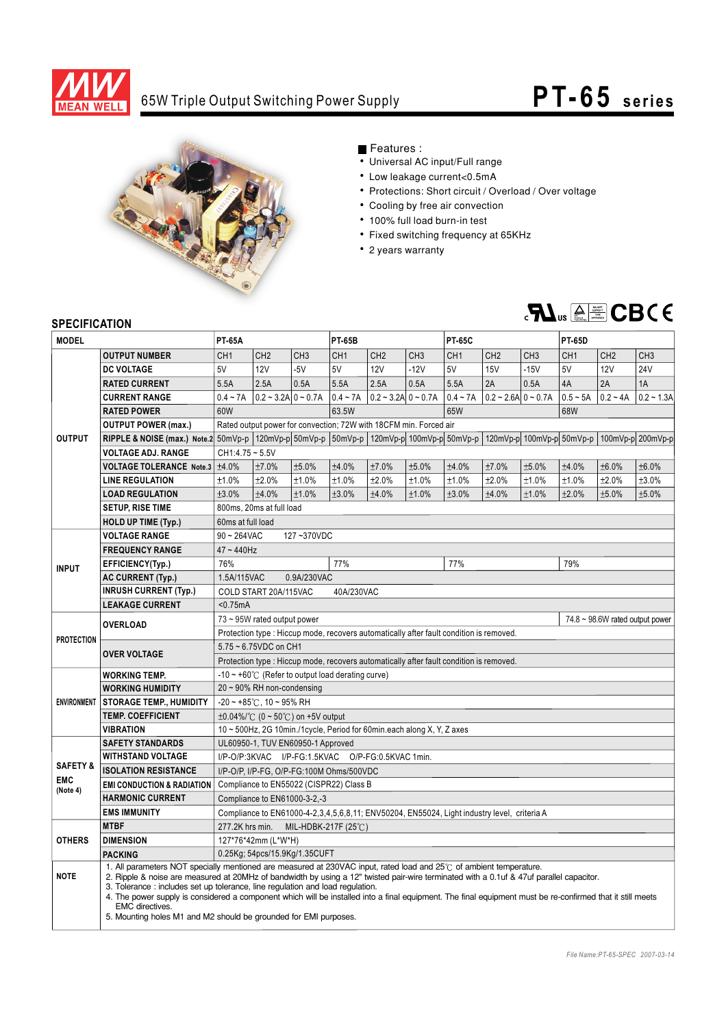

### 65W Triple Output Switching Power Supply

# **PT-65** series



#### Features :

- Universal AC input/Full range
- Low leakage current<0.5mA
- Protections: Short circuit / Overload / Over voltage
- Cooling by free air convection
- 100% full load burn-in test
- Fixed switching frequency at 65KHz
- 2 years warranty



#### **SPECIFICATION**

| JE LUII IUMI IUN    |                                                                                                                                                                                                                                        |                                                                                                                                                                                                                                                                                                                                                                                                                                                                                                                                                                                    |                                                             |                                   |                          |                                                                   |                 |                 |                           |                 |                 |                 |                   |
|---------------------|----------------------------------------------------------------------------------------------------------------------------------------------------------------------------------------------------------------------------------------|------------------------------------------------------------------------------------------------------------------------------------------------------------------------------------------------------------------------------------------------------------------------------------------------------------------------------------------------------------------------------------------------------------------------------------------------------------------------------------------------------------------------------------------------------------------------------------|-------------------------------------------------------------|-----------------------------------|--------------------------|-------------------------------------------------------------------|-----------------|-----------------|---------------------------|-----------------|-----------------|-----------------|-------------------|
| <b>MODEL</b>        |                                                                                                                                                                                                                                        | <b>PT-65A</b>                                                                                                                                                                                                                                                                                                                                                                                                                                                                                                                                                                      |                                                             | <b>PT-65B</b>                     |                          | <b>PT-65C</b>                                                     |                 |                 | <b>PT-65D</b>             |                 |                 |                 |                   |
|                     | <b>OUTPUT NUMBER</b>                                                                                                                                                                                                                   | CH <sub>1</sub>                                                                                                                                                                                                                                                                                                                                                                                                                                                                                                                                                                    | CH <sub>2</sub>                                             | CH <sub>3</sub>                   | CH <sub>1</sub>          | CH <sub>2</sub>                                                   | CH <sub>3</sub> | CH <sub>1</sub> | CH <sub>2</sub>           | CH <sub>3</sub> | CH <sub>1</sub> | CH <sub>2</sub> | CH <sub>3</sub>   |
|                     | <b>DC VOLTAGE</b>                                                                                                                                                                                                                      | 5V                                                                                                                                                                                                                                                                                                                                                                                                                                                                                                                                                                                 | 12V                                                         | $-5V$                             | 5V                       | 12V                                                               | $-12V$          | 5V              | <b>15V</b>                | $-15V$          | 5V              | <b>12V</b>      | 24V               |
|                     | <b>RATED CURRENT</b>                                                                                                                                                                                                                   | 5.5A                                                                                                                                                                                                                                                                                                                                                                                                                                                                                                                                                                               | 2.5A                                                        | 0.5A                              | 5.5A                     | 2.5A                                                              | 0.5A            | 5.5A            | 2A                        | 0.5A            | 4A              | 2A              | 1A                |
|                     | <b>CURRENT RANGE</b>                                                                                                                                                                                                                   | $0.4 - 7A$                                                                                                                                                                                                                                                                                                                                                                                                                                                                                                                                                                         | $0.2 - 3.2$ A $0 - 0.7$ A                                   |                                   | $0.4 - 7A$               | $0.2 - 3.2A \cdot 0 - 0.7A$                                       |                 | $0.4 - 7A$      | $0.2 - 2.6$ A $0 - 0.7$ A |                 | $0.5 - 5A$      | $0.2 - 4A$      | $0.2 - 1.3A$      |
|                     | <b>RATED POWER</b>                                                                                                                                                                                                                     | 60W                                                                                                                                                                                                                                                                                                                                                                                                                                                                                                                                                                                |                                                             |                                   | 63.5W                    |                                                                   | 65W             |                 |                           | 68W             |                 |                 |                   |
|                     | <b>OUTPUT POWER (max.)</b>                                                                                                                                                                                                             |                                                                                                                                                                                                                                                                                                                                                                                                                                                                                                                                                                                    |                                                             |                                   |                          | Rated output power for convection: 72W with 18CFM min. Forced air |                 |                 |                           |                 |                 |                 |                   |
| <b>OUTPUT</b>       | <b>RIPPLE &amp; NOISE (max.)</b> Note.2 50mVp-p   120mVp-p   50mVp-p   50mVp-p   120mVp-p   100mVp-p   50mVp-p   120mVp-p   100mVp-p   50mVp-p   50mVp-p   50mVp-p   60mVp-p   60mVp-p   60mVp-p   100mVp-p   50mVp-p   50mVp-p   60mV |                                                                                                                                                                                                                                                                                                                                                                                                                                                                                                                                                                                    |                                                             |                                   |                          |                                                                   |                 |                 |                           |                 |                 |                 | 100mVp-p 200mVp-p |
|                     | <b>VOLTAGE ADJ. RANGE</b>                                                                                                                                                                                                              | $CH1:4.75 - 5.5V$                                                                                                                                                                                                                                                                                                                                                                                                                                                                                                                                                                  |                                                             |                                   |                          |                                                                   |                 |                 |                           |                 |                 |                 |                   |
|                     | <b>VOLTAGE TOLERANCE Note.3</b>                                                                                                                                                                                                        | $\pm 4.0\%$                                                                                                                                                                                                                                                                                                                                                                                                                                                                                                                                                                        | ±7.0%                                                       | ±5.0%                             | ±4.0%                    | ±7.0%                                                             | ±5.0%           | ±4.0%           | ±7.0%                     | ±5.0%           | ±4.0%           | ±6.0%           | ±6.0%             |
|                     | <b>LINE REGULATION</b>                                                                                                                                                                                                                 | ±1.0%                                                                                                                                                                                                                                                                                                                                                                                                                                                                                                                                                                              | ±2.0%                                                       | ±1.0%                             | ±1.0%                    | ±2.0%                                                             | ±1.0%           | ±1.0%           | ±2.0%                     | ±1.0%           | ±1.0%           | ±2.0%           | ±3.0%             |
|                     | <b>LOAD REGULATION</b>                                                                                                                                                                                                                 | ±3.0%                                                                                                                                                                                                                                                                                                                                                                                                                                                                                                                                                                              | ±4.0%                                                       | ±1.0%                             | ±3.0%                    | ±4.0%                                                             | ±1.0%           | ±3.0%           | ±4.0%                     | ±1.0%           | ±2.0%           | ±5.0%           | ±5.0%             |
|                     | <b>SETUP, RISE TIME</b>                                                                                                                                                                                                                |                                                                                                                                                                                                                                                                                                                                                                                                                                                                                                                                                                                    | 800ms, 20ms at full load                                    |                                   |                          |                                                                   |                 |                 |                           |                 |                 |                 |                   |
|                     | <b>HOLD UP TIME (Typ.)</b>                                                                                                                                                                                                             | 60ms at full load                                                                                                                                                                                                                                                                                                                                                                                                                                                                                                                                                                  |                                                             |                                   |                          |                                                                   |                 |                 |                           |                 |                 |                 |                   |
|                     | <b>VOLTAGE RANGE</b>                                                                                                                                                                                                                   | $90 - 264$ VAC                                                                                                                                                                                                                                                                                                                                                                                                                                                                                                                                                                     |                                                             | 127~370VDC                        |                          |                                                                   |                 |                 |                           |                 |                 |                 |                   |
|                     | <b>FREQUENCY RANGE</b>                                                                                                                                                                                                                 | $47 - 440$ Hz                                                                                                                                                                                                                                                                                                                                                                                                                                                                                                                                                                      |                                                             |                                   |                          |                                                                   |                 |                 |                           |                 |                 |                 |                   |
| <b>INPUT</b>        | EFFICIENCY(Typ.)                                                                                                                                                                                                                       | 76%                                                                                                                                                                                                                                                                                                                                                                                                                                                                                                                                                                                |                                                             |                                   | 77%                      |                                                                   |                 | 77%             |                           |                 | 79%             |                 |                   |
|                     | <b>AC CURRENT (Typ.)</b>                                                                                                                                                                                                               |                                                                                                                                                                                                                                                                                                                                                                                                                                                                                                                                                                                    | 1.5A/115VAC<br>0.9A/230VAC                                  |                                   |                          |                                                                   |                 |                 |                           |                 |                 |                 |                   |
|                     | <b>INRUSH CURRENT (Typ.)</b>                                                                                                                                                                                                           |                                                                                                                                                                                                                                                                                                                                                                                                                                                                                                                                                                                    | COLD START 20A/115VAC<br>40A/230VAC                         |                                   |                          |                                                                   |                 |                 |                           |                 |                 |                 |                   |
|                     | <b>LEAKAGE CURRENT</b>                                                                                                                                                                                                                 | $0.75mA$                                                                                                                                                                                                                                                                                                                                                                                                                                                                                                                                                                           |                                                             |                                   |                          |                                                                   |                 |                 |                           |                 |                 |                 |                   |
|                     | <b>OVERLOAD</b>                                                                                                                                                                                                                        | $74.8 \sim 98.6W$ rated output power<br>73 ~ 95W rated output power                                                                                                                                                                                                                                                                                                                                                                                                                                                                                                                |                                                             |                                   |                          |                                                                   |                 |                 |                           |                 |                 |                 |                   |
| <b>PROTECTION</b>   |                                                                                                                                                                                                                                        | Protection type : Hiccup mode, recovers automatically after fault condition is removed.                                                                                                                                                                                                                                                                                                                                                                                                                                                                                            |                                                             |                                   |                          |                                                                   |                 |                 |                           |                 |                 |                 |                   |
|                     | <b>OVER VOLTAGE</b>                                                                                                                                                                                                                    | 5.75 ~ 6.75VDC on CH1                                                                                                                                                                                                                                                                                                                                                                                                                                                                                                                                                              |                                                             |                                   |                          |                                                                   |                 |                 |                           |                 |                 |                 |                   |
|                     |                                                                                                                                                                                                                                        | Protection type : Hiccup mode, recovers automatically after fault condition is removed.                                                                                                                                                                                                                                                                                                                                                                                                                                                                                            |                                                             |                                   |                          |                                                                   |                 |                 |                           |                 |                 |                 |                   |
|                     | <b>WORKING TEMP.</b>                                                                                                                                                                                                                   |                                                                                                                                                                                                                                                                                                                                                                                                                                                                                                                                                                                    | -10 ~ +60 $\degree$ C (Refer to output load derating curve) |                                   |                          |                                                                   |                 |                 |                           |                 |                 |                 |                   |
|                     | <b>WORKING HUMIDITY</b>                                                                                                                                                                                                                | 20~90% RH non-condensing                                                                                                                                                                                                                                                                                                                                                                                                                                                                                                                                                           |                                                             |                                   |                          |                                                                   |                 |                 |                           |                 |                 |                 |                   |
| <b>ENVIRONMENT</b>  | <b>STORAGE TEMP., HUMIDITY</b>                                                                                                                                                                                                         | $-20$ ~ +85°C, 10 ~ 95% RH                                                                                                                                                                                                                                                                                                                                                                                                                                                                                                                                                         |                                                             |                                   |                          |                                                                   |                 |                 |                           |                 |                 |                 |                   |
|                     | <b>TEMP. COEFFICIENT</b>                                                                                                                                                                                                               | $\pm 0.04\%$ /°C (0 ~ 50°C) on +5V output                                                                                                                                                                                                                                                                                                                                                                                                                                                                                                                                          |                                                             |                                   |                          |                                                                   |                 |                 |                           |                 |                 |                 |                   |
|                     | <b>VIBRATION</b>                                                                                                                                                                                                                       | 10 ~ 500Hz, 2G 10min./1cycle, Period for 60min.each along X, Y, Z axes                                                                                                                                                                                                                                                                                                                                                                                                                                                                                                             |                                                             |                                   |                          |                                                                   |                 |                 |                           |                 |                 |                 |                   |
|                     | <b>SAFETY STANDARDS</b>                                                                                                                                                                                                                |                                                                                                                                                                                                                                                                                                                                                                                                                                                                                                                                                                                    |                                                             | UL60950-1, TUV EN60950-1 Approved |                          |                                                                   |                 |                 |                           |                 |                 |                 |                   |
| <b>SAFETY &amp;</b> | <b>WITHSTAND VOLTAGE</b>                                                                                                                                                                                                               |                                                                                                                                                                                                                                                                                                                                                                                                                                                                                                                                                                                    |                                                             |                                   |                          | I/P-O/P:3KVAC I/P-FG:1.5KVAC O/P-FG:0.5KVAC 1min.                 |                 |                 |                           |                 |                 |                 |                   |
| <b>EMC</b>          | <b>ISOLATION RESISTANCE</b>                                                                                                                                                                                                            | I/P-O/P, I/P-FG, O/P-FG:100M Ohms/500VDC                                                                                                                                                                                                                                                                                                                                                                                                                                                                                                                                           |                                                             |                                   |                          |                                                                   |                 |                 |                           |                 |                 |                 |                   |
| (Note 4)            | <b>EMI CONDUCTION &amp; RADIATION</b>                                                                                                                                                                                                  | Compliance to EN55022 (CISPR22) Class B                                                                                                                                                                                                                                                                                                                                                                                                                                                                                                                                            |                                                             |                                   |                          |                                                                   |                 |                 |                           |                 |                 |                 |                   |
|                     | <b>HARMONIC CURRENT</b>                                                                                                                                                                                                                |                                                                                                                                                                                                                                                                                                                                                                                                                                                                                                                                                                                    | Compliance to EN61000-3-2,-3                                |                                   |                          |                                                                   |                 |                 |                           |                 |                 |                 |                   |
|                     | <b>EMS IMMUNITY</b>                                                                                                                                                                                                                    | Compliance to EN61000-4-2,3,4,5,6,8,11; ENV50204, EN55024, Light industry level, criteria A                                                                                                                                                                                                                                                                                                                                                                                                                                                                                        |                                                             |                                   |                          |                                                                   |                 |                 |                           |                 |                 |                 |                   |
|                     | <b>MTBF</b>                                                                                                                                                                                                                            | 277.2K hrs min.                                                                                                                                                                                                                                                                                                                                                                                                                                                                                                                                                                    |                                                             |                                   | MIL-HDBK-217F (25 $°C$ ) |                                                                   |                 |                 |                           |                 |                 |                 |                   |
| <b>OTHERS</b>       | <b>DIMENSION</b>                                                                                                                                                                                                                       |                                                                                                                                                                                                                                                                                                                                                                                                                                                                                                                                                                                    | 127*76*42mm (L*W*H)                                         |                                   |                          |                                                                   |                 |                 |                           |                 |                 |                 |                   |
|                     | <b>PACKING</b>                                                                                                                                                                                                                         |                                                                                                                                                                                                                                                                                                                                                                                                                                                                                                                                                                                    |                                                             | 0.25Kg; 54pcs/15.9Kg/1.35CUFT     |                          |                                                                   |                 |                 |                           |                 |                 |                 |                   |
| <b>NOTE</b>         | EMC directives.                                                                                                                                                                                                                        | 1. All parameters NOT specially mentioned are measured at 230VAC input, rated load and 25°C of ambient temperature.<br>2. Ripple & noise are measured at 20MHz of bandwidth by using a 12" twisted pair-wire terminated with a 0.1uf & 47uf parallel capacitor.<br>3. Tolerance: includes set up tolerance, line regulation and load regulation.<br>4. The power supply is considered a component which will be installed into a final equipment. The final equipment must be re-confirmed that it still meets<br>5. Mounting holes M1 and M2 should be grounded for EMI purposes. |                                                             |                                   |                          |                                                                   |                 |                 |                           |                 |                 |                 |                   |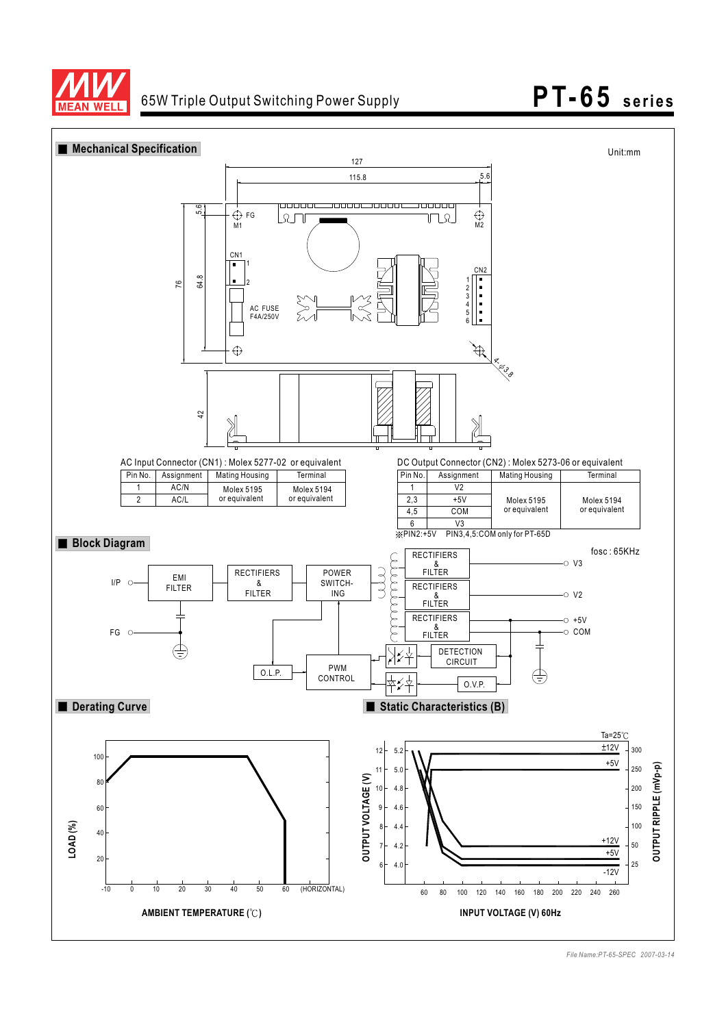



*File Name:PT-65-SPEC 2007-03-14*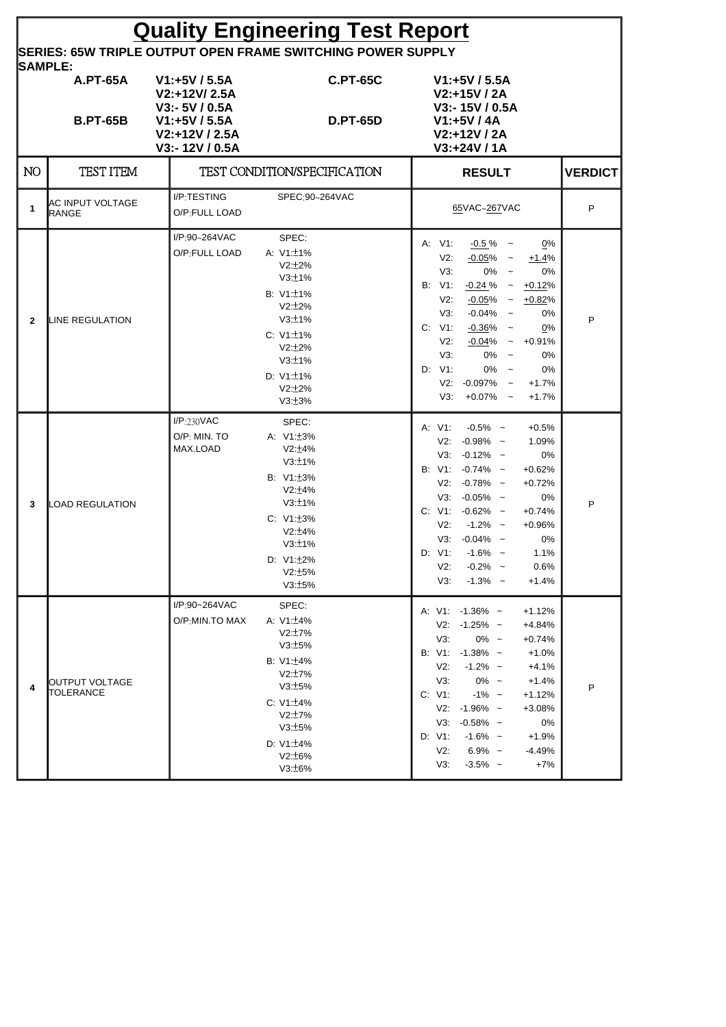| <b>Quality Engineering Test Report</b>                                               |                                          |                                                                                                      |                                                                                                                                                                             |                                                                                                                                                                                                                                                                                                                                                                                                                                                             |                |  |  |  |  |  |
|--------------------------------------------------------------------------------------|------------------------------------------|------------------------------------------------------------------------------------------------------|-----------------------------------------------------------------------------------------------------------------------------------------------------------------------------|-------------------------------------------------------------------------------------------------------------------------------------------------------------------------------------------------------------------------------------------------------------------------------------------------------------------------------------------------------------------------------------------------------------------------------------------------------------|----------------|--|--|--|--|--|
| <b>SERIES: 65W TRIPLE OUTPUT OPEN FRAME SWITCHING POWER SUPPLY</b><br><b>SAMPLE:</b> |                                          |                                                                                                      |                                                                                                                                                                             |                                                                                                                                                                                                                                                                                                                                                                                                                                                             |                |  |  |  |  |  |
|                                                                                      | <b>A.PT-65A</b><br><b>B.PT-65B</b>       | $V1:+5V/5.5A$<br>V2:+12V/2.5A<br>$V3: -5V / 0.5A$<br>V1:+5V / 5.5A<br>V2:+12V / 2.5A<br>V3:-12V/0.5A | <b>C.PT-65C</b><br><b>D.PT-65D</b>                                                                                                                                          | $V1:+5V/5.5A$<br>$V2: +15V / 2A$<br>V3:-15V/0.5A<br>V1:+5V / 4A<br>V2:+12V / 2A<br>V3:+24V / 1A                                                                                                                                                                                                                                                                                                                                                             |                |  |  |  |  |  |
| NO.                                                                                  | <b>TEST ITEM</b>                         |                                                                                                      | TEST CONDITION/SPECIFICATION                                                                                                                                                | <b>RESULT</b>                                                                                                                                                                                                                                                                                                                                                                                                                                               | <b>VERDICT</b> |  |  |  |  |  |
| 1                                                                                    | <b>AC INPUT VOLTAGE</b><br><b>IRANGE</b> | I/P:TESTING<br>O/P:FULL LOAD                                                                         | SPEC:90~264VAC                                                                                                                                                              | 65VAC~267VAC                                                                                                                                                                                                                                                                                                                                                                                                                                                | P              |  |  |  |  |  |
| $\mathbf{2}$                                                                         | LINE REGULATION                          | I/P:90~264VAC<br>O/P:FULL LOAD                                                                       | SPEC:<br>A: $V1:\pm 1\%$<br>$V2:12\%$<br>V3:±1%<br>B: V1: ±1%<br>V2:12%<br>V3:±1%<br>C: $V1:\pm 1\%$<br>$V2:12\%$<br>V3:±1%<br>D: $V1:\pm 1\%$<br>V2:12%<br>V3:±3%          | A: V1:<br>$-0.5\%$ ~<br>0%<br>V2:<br>$-0.05\%$ ~<br>$+1.4%$<br>V3:<br>$0\% -$<br>0%<br><b>B:</b> V1:<br>$-0.24 \%$ ~<br>$+0.12%$<br>V2:<br>$-0.05%$<br>$\sim$<br>$+0.82%$<br>$-0.04\%$ ~<br>V3:<br>0%<br>C:<br>V1:<br>$-0.36%$<br>0%<br>$\sim$<br>V2:<br>$-0.04%$<br>$+0.91%$<br>$\thicksim$<br>V3:<br>0%<br>$\sim$<br>0%<br>D: V1:<br>0%<br>0%<br>$\widetilde{\phantom{m}}$<br>$V2: -0.097\%$<br>$+1.7%$<br>$\sim$<br>$+0.07%$<br>V3:<br>$+1.7%$<br>$\sim$ | P              |  |  |  |  |  |
| 3                                                                                    | <b>LOAD REGULATION</b>                   | I/P:230VAC<br>O/P: MIN. TO<br>MAX.LOAD                                                               | SPEC:<br>A: V1: ±3%<br>V2:±4%<br>V3:±1%<br>B: V1: ± 3%<br>V2:±4%<br>V3:±1%<br>C: V1: ± 3%<br>$V2:\pm 4\%$<br>V3:±1%<br>D: V1: ±2%<br>V2:±5%<br>V3:±5%                       | $-0.5\%$ ~<br>A: V1:<br>$+0.5%$<br>$V2: -0.98\%$ ~<br>1.09%<br>$V3: -0.12\%$ ~<br>0%<br>B: $V1: -0.74\%$ ~<br>$+0.62%$<br>$V2: -0.78\%$ ~<br>$+0.72%$<br>$-0.05\%$ ~<br>V3:<br>0%<br>C: $V1: -0.62\%$ ~<br>$+0.74%$<br>$-1.2\%$ ~<br>V2:<br>$+0.96%$<br>$V3: -0.04\%$ ~<br>0%<br>D: V1:<br>$-1.6\%$ ~<br>1.1%<br>$V2$ :<br>0.6%<br>$-0.2\%$ ~<br>$-1.3\%$ ~<br>V3:<br>$+1.4%$                                                                               | P              |  |  |  |  |  |
| 4                                                                                    | <b>I</b> OUTPUT VOLTAGE<br>TOLERANCE     | I/P:90~264VAC<br>O/P:MIN.TO MAX                                                                      | SPEC:<br>A: $V1:\pm 4\%$<br>$V2:\pm7\%$<br>V3:±5%<br>B: $V1:\pm 4\%$<br>$V2:\pm7\%$<br>V3:±5%<br>C: $V1:\pm 4\%$<br>V2:17%<br>V3:±5%<br>D: $V1:\pm 4\%$<br>V2:16%<br>V3:±6% | A: $V1: -1.36\%$ ~<br>$+1.12%$<br>$V2: -1.25\%$ ~<br>+4.84%<br>$0\% -$<br>V3:<br>$+0.74%$<br>B: V1: -1.38% ~<br>$+1.0%$<br>$-1.2\%$ ~<br>V2:<br>$+4.1%$<br>$0\% -$<br>V3:<br>$+1.4%$<br>$-1\%$ ~<br>C: V1:<br>$+1.12%$<br>$V2: -1.96\%$ ~<br>+3.08%<br>$-0.58\%$ ~<br>V3:<br>0%<br>D: V1:<br>$-1.6\%$ ~<br>$+1.9%$<br>$6.9\%$ ~<br>V2:<br>$-4.49%$<br>$-3.5\%$ ~<br>V3:<br>$+7%$                                                                            | P              |  |  |  |  |  |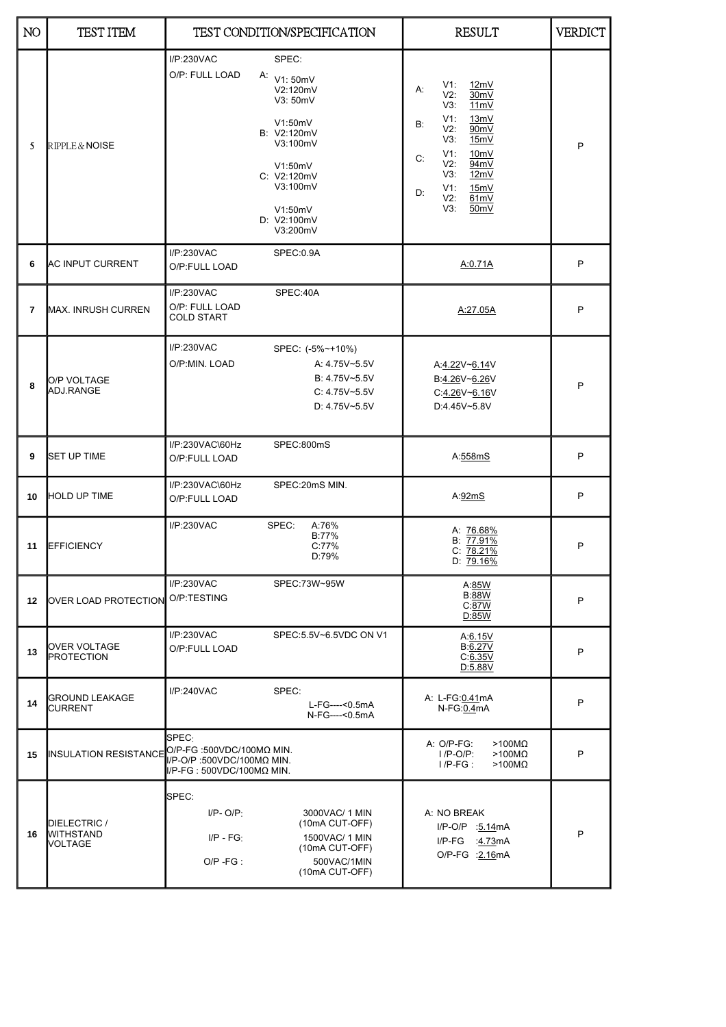| N <sub>O</sub> | <b>TEST ITEM</b>                                   |                                                                                                | TEST CONDITION/SPECIFICATION                                                                                                                                    | <b>RESULT</b>                                                                                                                                                                                                            | <b>VERDICT</b> |
|----------------|----------------------------------------------------|------------------------------------------------------------------------------------------------|-----------------------------------------------------------------------------------------------------------------------------------------------------------------|--------------------------------------------------------------------------------------------------------------------------------------------------------------------------------------------------------------------------|----------------|
| 5              | RIPPLE & NOISE                                     | I/P:230VAC<br>O/P: FULL LOAD                                                                   | SPEC:<br>A: $V1:50mV$<br>V2:120mV<br>V3: 50mV<br>V1:50mV<br>B: V2:120mV<br>V3:100mV<br>V1:50mV<br>C: V2:120mV<br>V3:100mV<br>V1:50mV<br>D: V2:100mV<br>V3:200mV | 12mV<br>V1:<br>А:<br>$V2$ :<br>30mV<br>V3:<br>11mV<br>V1:<br>13mV<br>B:<br>V2:<br>90mV<br>V3:<br>15mV<br>V1:<br>10 <sub>m</sub> V<br>C:<br>V2:<br>94mV<br>V3:<br>12mV<br>V1:<br>15mV<br>D:<br>V2:<br>61mV<br>50mV<br>V3: | P              |
| 6              | <b>AC INPUT CURRENT</b>                            | I/P:230VAC<br>O/P:FULL LOAD                                                                    | SPEC:0.9A                                                                                                                                                       | A:0.71A                                                                                                                                                                                                                  | P              |
| 7              | MAX. INRUSH CURREN                                 | I/P:230VAC<br>O/P: FULL LOAD<br><b>COLD START</b>                                              | SPEC:40A                                                                                                                                                        | A:27.05A                                                                                                                                                                                                                 | P              |
| 8              | O/P VOLTAGE<br>ADJ.RANGE                           | I/P:230VAC<br>O/P:MIN. LOAD                                                                    | SPEC: (-5%~+10%)<br>A: 4.75V~5.5V<br>B: 4.75V~5.5V<br>$C: 4.75V - 5.5V$<br>D: 4.75V~5.5V                                                                        | A:4.22V~6.14V<br>B:4.26V~6.26V<br>C:4.26V~6.16V<br>D:4.45V~5.8V                                                                                                                                                          | P              |
| 9              | <b>SET UP TIME</b>                                 | I/P:230VAC\60Hz<br>O/P:FULL LOAD                                                               | SPEC:800mS                                                                                                                                                      | A:558mS                                                                                                                                                                                                                  | P              |
| 10             | <b>HOLD UP TIME</b>                                | I/P:230VAC\60Hz<br>O/P:FULL LOAD                                                               | SPEC:20mS MIN.                                                                                                                                                  | A:92mS                                                                                                                                                                                                                   | P              |
| 11             | <b>EFFICIENCY</b>                                  | I/P:230VAC                                                                                     | SPEC:<br>A:76%<br>B:77%<br>C:77%<br>D:79%                                                                                                                       | A: 76.68%<br>B: 77.91%<br>C: 78.21%<br>$D: 79.16\%$                                                                                                                                                                      | P              |
| 12             | OVER LOAD PROTECTION                               | I/P:230VAC<br>O/P:TESTING                                                                      | SPEC:73W~95W                                                                                                                                                    | A:85W<br><b>B:88W</b><br>C:87W<br>D:85W                                                                                                                                                                                  | P              |
| 13             | OVER VOLTAGE<br><b>PROTECTION</b>                  | I/P:230VAC<br>O/P:FULL LOAD                                                                    | SPEC:5.5V~6.5VDC ON V1                                                                                                                                          | A:6.15V<br>B:6.27V<br>C:6.35V<br>D:5.88V                                                                                                                                                                                 | P              |
| 14             | GROUND LEAKAGE<br><b>CURRENT</b>                   | I/P:240VAC                                                                                     | SPEC:<br>L-FG----<0.5mA<br>N-FG----<0.5mA                                                                                                                       | A: L-FG:0.41mA<br>N-FG:0.4mA                                                                                                                                                                                             | P              |
| 15             | <b>INSULATION RESISTANCE</b>                       | SPEC:<br>O/P-FG :500VDC/100MΩ MIN.<br>I/P-O/P:500VDC/100ΜΩ ΜΙΝ.<br>II/P-FG : 500VDC/100ΜΩ ΜΙΝ. |                                                                                                                                                                 | A: O/P-FG:<br>$>100M\Omega$<br>$>100M\Omega$<br>$I/P-O/P$ :<br>$>100M\Omega$<br>$I/P-FG$ :                                                                                                                               | P              |
| 16             | DIELECTRIC /<br><b>WITHSTAND</b><br><b>VOLTAGE</b> | SPEC:<br>$I/P - O/P$ :<br>$I/P - FG$<br>$O/P - FG$ :                                           | 3000VAC/ 1 MIN<br>(10mA CUT-OFF)<br>1500VAC/ 1 MIN<br>(10mA CUT-OFF)<br>500VAC/1MIN<br>(10mA CUT-OFF)                                                           | A: NO BREAK<br>I/P-O/P :5.14mA<br>$I/P$ - $FG$<br>:4.73mA<br>O/P-FG : 2.16mA                                                                                                                                             | P              |